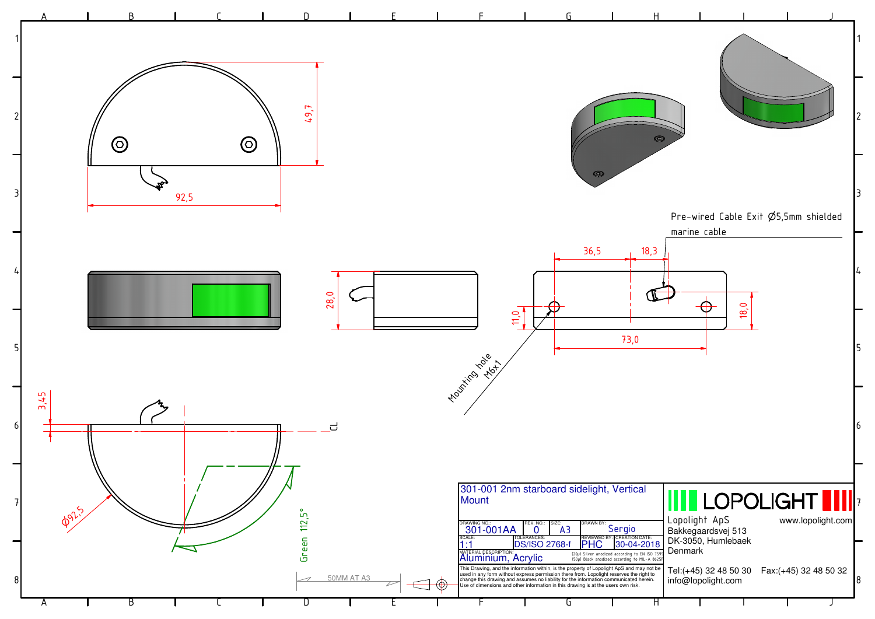